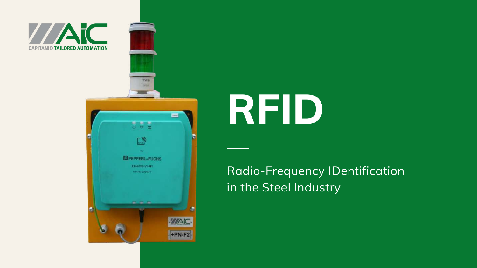

# **RFID**

## Radio-Frequency IDentification

in the Steel Industry

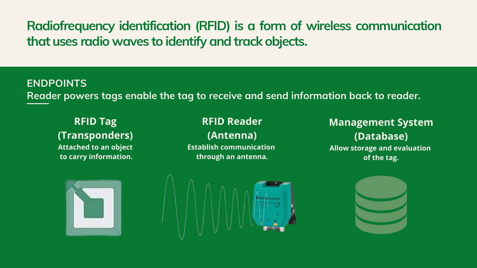## **Radiofrequency identification (RFID) is a form of wireless communication that uses radio waves to identify and track objects.**

**RFID Tag (Transponders) Attached to an object to carry information.**

#### **ENDPOINTS Reader powers tags enable the tag to receive and send information back to reader.**

#### **RFID Reader (Antenna) Establish communication through an antenna.**





#### **Management System (Database) Allow storage and evaluation of the tag.**

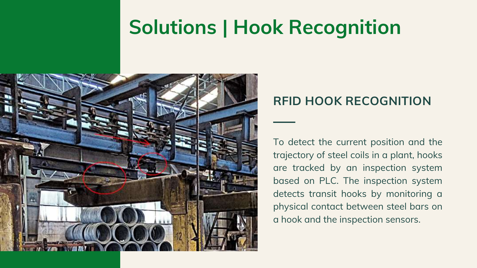## **Solutions | Hook Recognition**



To detect the current position and the trajectory of steel coils in a plant, hooks are tracked by an inspection system based on PLC. The inspection system detects transit hooks by monitoring a physical contact between steel bars on a hook and the inspection sensors.

### **RFID HOOK RECOGNITION**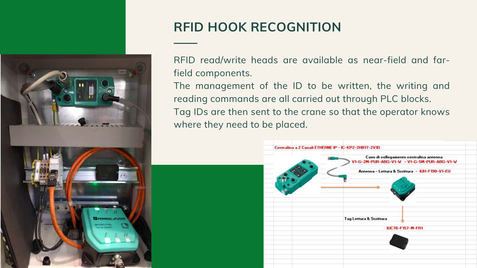RFID read/write heads are available as near-field and farfield components.

The management of the ID to be written, the writing and reading commands are all carried out through PLC blocks. Tag IDs are then sent to the crane so that the operator knows where they need to be placed.







## **RFID HOOK RECOGNITION**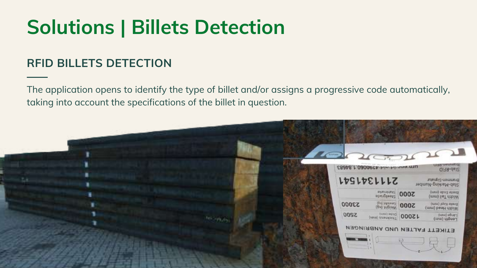The application opens to identify the type of billet and/or assigns a progressive code automatically, taking into account the specifications of the billet in question.



#### **RFID BILLETS DETECTION**

## **Solutions | Billets Detection**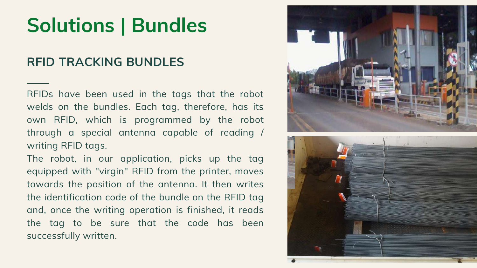RFIDs have been used in the tags that the robot welds on the bundles. Each tag, therefore, has its own RFID, which is programmed by the robot through a special antenna capable of reading / writing RFID tags.

The robot, in our application, picks up the tag equipped with "virgin" RFID from the printer, moves towards the position of the antenna. It then writes the identification code of the bundle on the RFID tag and, once the writing operation is finished, it reads the tag to be sure that the code has been successfully written.





#### **RFID TRACKING BUNDLES**

## **Solutions | Bundles**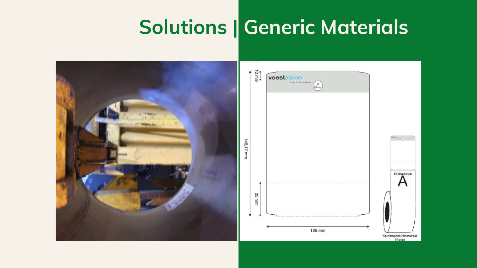## **Solutions | Generic Materials**

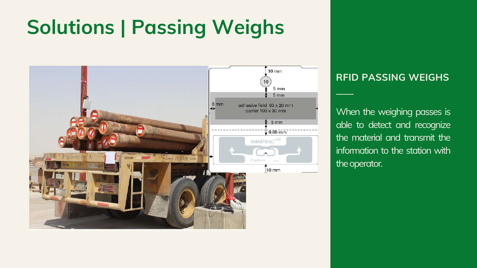#### **RFID PASSING WEIGHS**

When the weighing passes is able to detect and recognize the material and transmit the information to the station with the operator.

## **Solutions | Passing Weighs**

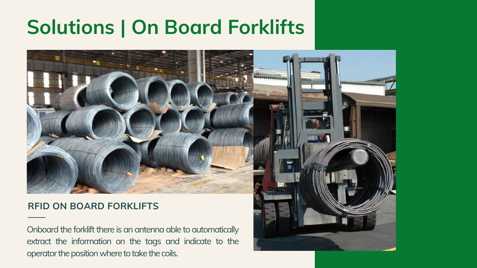#### **RFID ON BOARD FORKLIFTS**

Onboard the forklift there is an antenna able to automatically extract the information on the tags and indicate to the operator the position where to take the coils.





## **Solutions | On Board Forklifts**

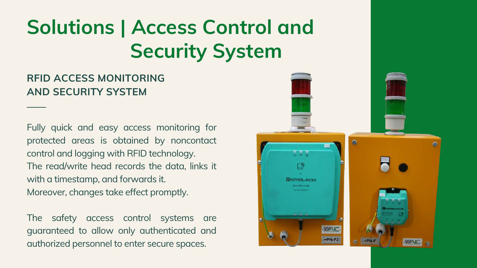Fully quick and easy access monitoring for protected areas is obtained by noncontact control and logging with RFID technology. The read/write head records the data, links it with a timestamp, and forwards it. Moreover, changes take effect promptly.

The safety access control systems are guaranteed to allow only authenticated and authorized personnel to enter secure spaces.



#### **RFID ACCESS MONITORING AND SECURITY SYSTEM**

## **Solutions | Access Control and Security System**